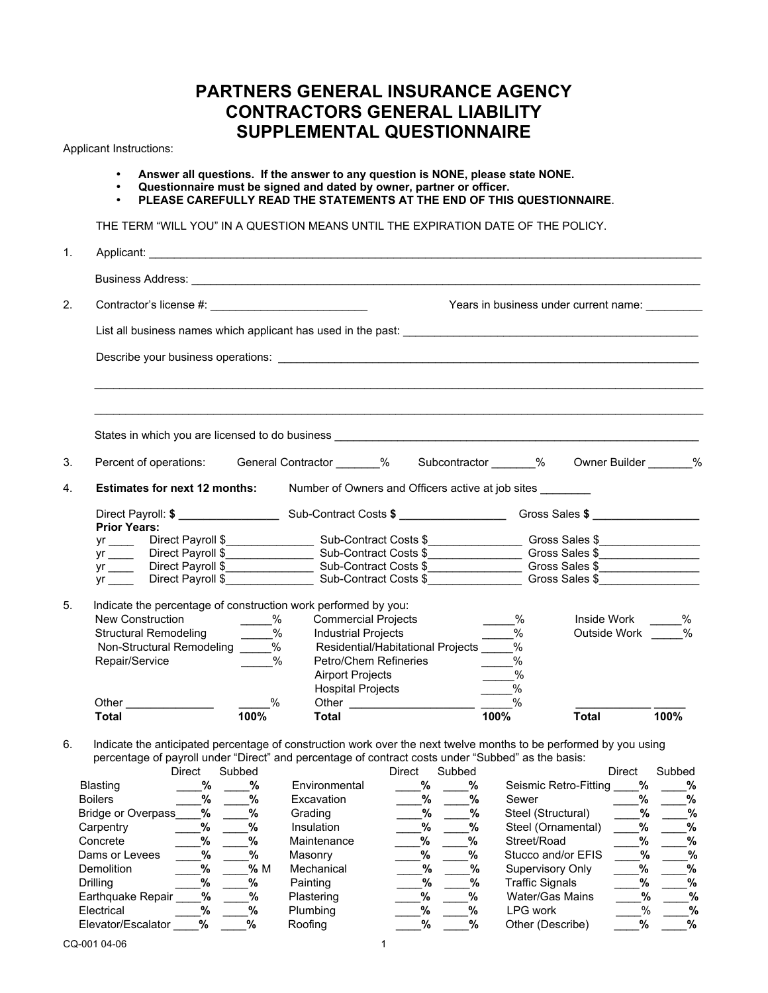## **PARTNERS GENERAL INSURANCE AGENCY CONTRACTORS GENERAL LIABILITY SUPPLEMENTAL QUESTIONNAIRE**

Applicant Instructions:

- **Answer all questions. If the answer to any question is NONE, please state NONE.**
- **Questionnaire must be signed and dated by owner, partner or officer.**
- **PLEASE CAREFULLY READ THE STATEMENTS AT THE END OF THIS QUESTIONNAIRE**.

THE TERM "WILL YOU" IN A QUESTION MEANS UNTIL THE EXPIRATION DATE OF THE POLICY.

| 1. |                                                                                                                                                |               |                                                                                                                                                                                                                                             |                                                        |                                 |  |
|----|------------------------------------------------------------------------------------------------------------------------------------------------|---------------|---------------------------------------------------------------------------------------------------------------------------------------------------------------------------------------------------------------------------------------------|--------------------------------------------------------|---------------------------------|--|
|    |                                                                                                                                                |               |                                                                                                                                                                                                                                             |                                                        |                                 |  |
| 2. |                                                                                                                                                |               |                                                                                                                                                                                                                                             | Years in business under current name:                  |                                 |  |
|    |                                                                                                                                                |               | List all business names which applicant has used in the past: example and all the state of the state of the state of the state of the state of the state of the state of the state of the state of the state of the state of t              |                                                        |                                 |  |
|    |                                                                                                                                                |               |                                                                                                                                                                                                                                             |                                                        |                                 |  |
|    |                                                                                                                                                |               |                                                                                                                                                                                                                                             |                                                        |                                 |  |
| 3. |                                                                                                                                                |               | Percent of operations: General Contractor 600 % Subcontractor 600 % 900 % 900 % 000 % 900 % 900 % 900 % 900 % 900 % 900 % 900 % 900 % 900 % 900 % 900 % 900 % 900 % 900 % 900 % 900 % 900 % 900 % 900 % 900 % 900 % 900 % 900               |                                                        |                                 |  |
| 4. |                                                                                                                                                |               | <b>Estimates for next 12 months:</b> Number of Owners and Officers active at job sites                                                                                                                                                      |                                                        |                                 |  |
|    | <b>Prior Years:</b>                                                                                                                            |               |                                                                                                                                                                                                                                             |                                                        |                                 |  |
|    |                                                                                                                                                |               | yr<br>yr Direct Payroll \$ Direct Payroll \$ Direct Payroll \$ Direct Payroll \$ Direct Payroll \$ Direct Payroll \$ Direct Payroll \$ Direct Payroll \$ Direct Payroll \$ Direct Payroll \$ Direct Payroll \$ Direct Payroll \$ Direct Pay |                                                        |                                 |  |
|    |                                                                                                                                                |               |                                                                                                                                                                                                                                             |                                                        |                                 |  |
| 5. | Indicate the percentage of construction work performed by you:<br>New Construction<br>Structural Remodeling<br>Non-Structural Remodeling<br>2% |               | <b>Commercial Projects</b><br>Industrial Projects<br>Residential/Habitational Projects ______%                                                                                                                                              | $\frac{9}{6}$<br>$\frac{1}{\sqrt{2}}$ %                | Inside Work %<br>Outside Work % |  |
|    |                                                                                                                                                | $\frac{0}{0}$ | Petro/Chem Refineries                                                                                                                                                                                                                       | $\underline{\hspace{1cm}}^{\%}$                        |                                 |  |
|    | Repair/Service                                                                                                                                 | $\frac{0}{2}$ | <b>Airport Projects</b><br><b>Hospital Projects</b>                                                                                                                                                                                         | $\overline{\phantom{a}}^{\%}$<br>$\frac{9}{2}$<br>$\%$ |                                 |  |

6. Indicate the anticipated percentage of construction work over the next twelve months to be performed by you using percentage of payroll under "Direct" and percentage of contract costs under "Subbed" as the basis:

| Direct | Subbed                                                               |                       | Direct | Subbed |                                           | <b>Direct</b> | Subbed                                       |
|--------|----------------------------------------------------------------------|-----------------------|--------|--------|-------------------------------------------|---------------|----------------------------------------------|
|        | %                                                                    | Environmental         |        | %      |                                           | %             | %                                            |
|        | %                                                                    | Excavation            |        | %      | Sewer                                     | %             | %                                            |
|        | %                                                                    | Grading               |        | %      | Steel (Structural)                        |               | %                                            |
| %      | %                                                                    | Insulation            |        | %      | Steel (Ornamental)                        | %             | %                                            |
| %      | %                                                                    | Maintenance           |        | %      | Street/Road                               | %             | %                                            |
|        | %                                                                    | Masonry               | %      | %      | Stucco and/or EFIS                        |               | %                                            |
| %      | % M                                                                  | Mechanical            |        | %      | Supervisory Only                          | %             | %                                            |
|        | %                                                                    | Painting              |        | %      | <b>Traffic Signals</b>                    | %             | %                                            |
|        | %                                                                    | Plastering            |        | %      | Water/Gas Mains                           |               | %                                            |
| %      | %                                                                    | <b>Plumbing</b>       | %      | %      | LPG work                                  |               | %                                            |
| %      | %                                                                    | Roofing               |        | %      | Other (Describe)                          | %             | %                                            |
|        | <b>Bridge or Overpass</b><br>Earthquake Repair<br>Elevator/Escalator | %<br>%<br>%<br>%<br>% |        |        | %<br>%<br>%<br>%<br>%<br>%<br>%<br>%<br>% |               | Seismic Retro-Fitting<br>%<br>%<br>%<br>$\%$ |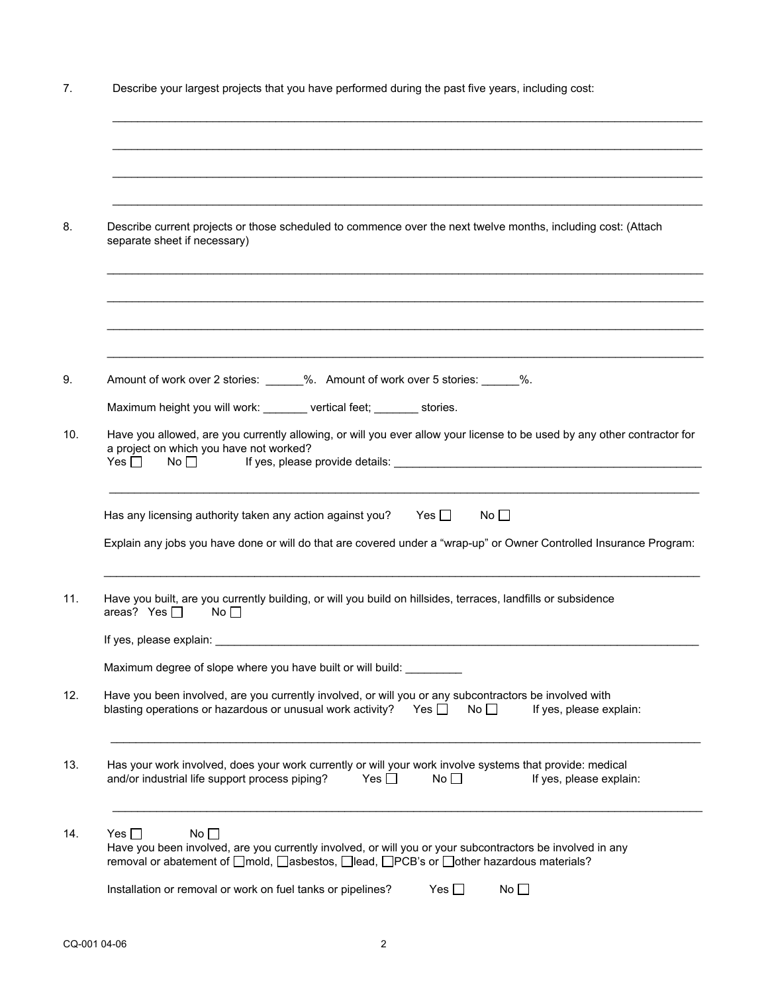| Describe your largest projects that you have performed during the past five years, including cost:                                                                                                                                                                                                                                                                                                                              |  |  |  |  |  |  |
|---------------------------------------------------------------------------------------------------------------------------------------------------------------------------------------------------------------------------------------------------------------------------------------------------------------------------------------------------------------------------------------------------------------------------------|--|--|--|--|--|--|
|                                                                                                                                                                                                                                                                                                                                                                                                                                 |  |  |  |  |  |  |
|                                                                                                                                                                                                                                                                                                                                                                                                                                 |  |  |  |  |  |  |
| Describe current projects or those scheduled to commence over the next twelve months, including cost: (Attach<br>separate sheet if necessary)                                                                                                                                                                                                                                                                                   |  |  |  |  |  |  |
|                                                                                                                                                                                                                                                                                                                                                                                                                                 |  |  |  |  |  |  |
| Amount of work over 2 stories: _____%. Amount of work over 5 stories: _____%.                                                                                                                                                                                                                                                                                                                                                   |  |  |  |  |  |  |
| Maximum height you will work: _______ vertical feet; ______ stories.                                                                                                                                                                                                                                                                                                                                                            |  |  |  |  |  |  |
| Have you allowed, are you currently allowing, or will you ever allow your license to be used by any other contractor for<br>a project on which you have not worked?<br>Yes $\Box$<br>If yes, please provide details: example and a series of the state of the state of the state of the state of the state of the state of the state of the state of the state of the state of the state of the state of the state<br>No $\Box$ |  |  |  |  |  |  |
| Has any licensing authority taken any action against you? Yes $\Box$<br>No $\square$<br>Explain any jobs you have done or will do that are covered under a "wrap-up" or Owner Controlled Insurance Program:                                                                                                                                                                                                                     |  |  |  |  |  |  |
| Have you built, are you currently building, or will you build on hillsides, terraces, landfills or subsidence<br>areas? Yes $\Box$<br>No <sub>1</sub>                                                                                                                                                                                                                                                                           |  |  |  |  |  |  |
| If yes, please explain:                                                                                                                                                                                                                                                                                                                                                                                                         |  |  |  |  |  |  |
| Maximum degree of slope where you have built or will build:                                                                                                                                                                                                                                                                                                                                                                     |  |  |  |  |  |  |
| Have you been involved, are you currently involved, or will you or any subcontractors be involved with<br>blasting operations or hazardous or unusual work activity?<br>Yes $\Box$<br>No $\square$<br>If yes, please explain:                                                                                                                                                                                                   |  |  |  |  |  |  |
| Has your work involved, does your work currently or will your work involve systems that provide: medical<br>and/or industrial life support process piping?<br>Yes $\Box$<br>No<br>If yes, please explain:                                                                                                                                                                                                                       |  |  |  |  |  |  |
| Yes $\Box$<br>No $\square$<br>Have you been involved, are you currently involved, or will you or your subcontractors be involved in any<br>removal or abatement of □mold, □asbestos, □lead, □PCB's or □other hazardous materials?                                                                                                                                                                                               |  |  |  |  |  |  |
|                                                                                                                                                                                                                                                                                                                                                                                                                                 |  |  |  |  |  |  |
|                                                                                                                                                                                                                                                                                                                                                                                                                                 |  |  |  |  |  |  |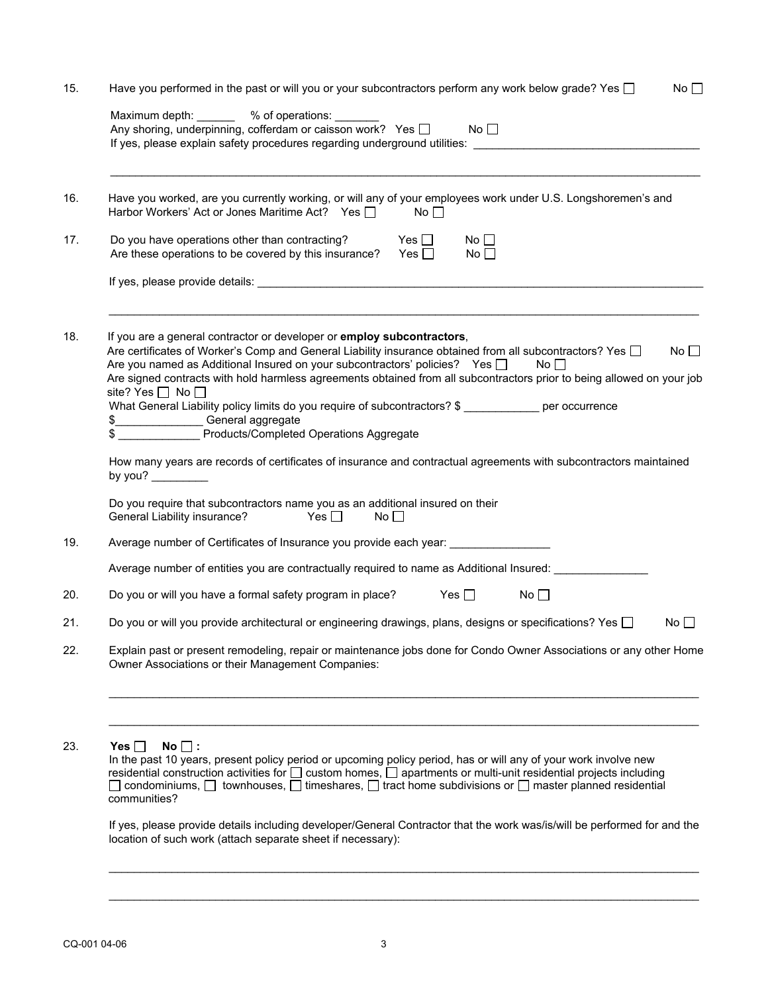|     | Have you performed in the past or will you or your subcontractors perform any work below grade? Yes $\square$<br>No $\square$                                                                                                                                                                                                                                                                                                                                                                                                                                                                                                                                   |  |  |  |  |  |  |  |
|-----|-----------------------------------------------------------------------------------------------------------------------------------------------------------------------------------------------------------------------------------------------------------------------------------------------------------------------------------------------------------------------------------------------------------------------------------------------------------------------------------------------------------------------------------------------------------------------------------------------------------------------------------------------------------------|--|--|--|--|--|--|--|
|     | Maximum depth: _______ % of operations: _______<br>No<br>Any shoring, underpinning, cofferdam or caisson work? Yes $\Box$                                                                                                                                                                                                                                                                                                                                                                                                                                                                                                                                       |  |  |  |  |  |  |  |
|     | If yes, please explain safety procedures regarding underground utilities: __________________________                                                                                                                                                                                                                                                                                                                                                                                                                                                                                                                                                            |  |  |  |  |  |  |  |
| 16. | Have you worked, are you currently working, or will any of your employees work under U.S. Longshoremen's and<br>Harbor Workers' Act or Jones Maritime Act? Yes I<br>$\mathsf{No} \ \Box$                                                                                                                                                                                                                                                                                                                                                                                                                                                                        |  |  |  |  |  |  |  |
| 17. | Do you have operations other than contracting?<br>Yes $\Box$<br>No $\square$<br>Are these operations to be covered by this insurance?<br>Yes $\Box$<br>No <sub>1</sub>                                                                                                                                                                                                                                                                                                                                                                                                                                                                                          |  |  |  |  |  |  |  |
|     |                                                                                                                                                                                                                                                                                                                                                                                                                                                                                                                                                                                                                                                                 |  |  |  |  |  |  |  |
| 18. | If you are a general contractor or developer or employ subcontractors,<br>No <sub>1</sub><br>Are certificates of Worker's Comp and General Liability insurance obtained from all subcontractors? Yes $\Box$<br>Are you named as Additional Insured on your subcontractors' policies? Yes $\Box$<br>No<br>Are signed contracts with hold harmless agreements obtained from all subcontractors prior to being allowed on your job<br>site? Yes $\Box$ No $\Box$<br>What General Liability policy limits do you require of subcontractors? \$ ____________ per occurrence<br>\$_________________General aggregate<br>Products/Completed Operations Aggregate<br>\$ |  |  |  |  |  |  |  |
|     | How many years are records of certificates of insurance and contractual agreements with subcontractors maintained<br>by you? $\qquad \qquad$<br>Do you require that subcontractors name you as an additional insured on their<br>General Liability insurance?<br>$\mathsf{Yes} \ \Box$<br>No <sub>1</sub>                                                                                                                                                                                                                                                                                                                                                       |  |  |  |  |  |  |  |
| 19. | Average number of Certificates of Insurance you provide each year: _____________                                                                                                                                                                                                                                                                                                                                                                                                                                                                                                                                                                                |  |  |  |  |  |  |  |
|     | Average number of entities you are contractually required to name as Additional Insured:                                                                                                                                                                                                                                                                                                                                                                                                                                                                                                                                                                        |  |  |  |  |  |  |  |
| 20. | Yes $\square$<br>Do you or will you have a formal safety program in place?<br>No $\square$                                                                                                                                                                                                                                                                                                                                                                                                                                                                                                                                                                      |  |  |  |  |  |  |  |
| 21. | Do you or will you provide architectural or engineering drawings, plans, designs or specifications? Yes $\Box$<br>$No \Box$                                                                                                                                                                                                                                                                                                                                                                                                                                                                                                                                     |  |  |  |  |  |  |  |
| 22. | Explain past or present remodeling, repair or maintenance jobs done for Condo Owner Associations or any other Home<br>Owner Associations or their Management Companies:                                                                                                                                                                                                                                                                                                                                                                                                                                                                                         |  |  |  |  |  |  |  |
|     |                                                                                                                                                                                                                                                                                                                                                                                                                                                                                                                                                                                                                                                                 |  |  |  |  |  |  |  |
|     |                                                                                                                                                                                                                                                                                                                                                                                                                                                                                                                                                                                                                                                                 |  |  |  |  |  |  |  |
| 23. | Yes $\Box$<br>$No$ :<br>In the past 10 years, present policy period or upcoming policy period, has or will any of your work involve new<br>residential construction activities for □ custom homes, □ apartments or multi-unit residential projects including<br>$\Box$ condominiums, $\Box$ townhouses, $\Box$ timeshares, $\Box$ tract home subdivisions or $\Box$ master planned residential<br>communities?                                                                                                                                                                                                                                                  |  |  |  |  |  |  |  |

 $\_$  , and the set of the set of the set of the set of the set of the set of the set of the set of the set of the set of the set of the set of the set of the set of the set of the set of the set of the set of the set of th